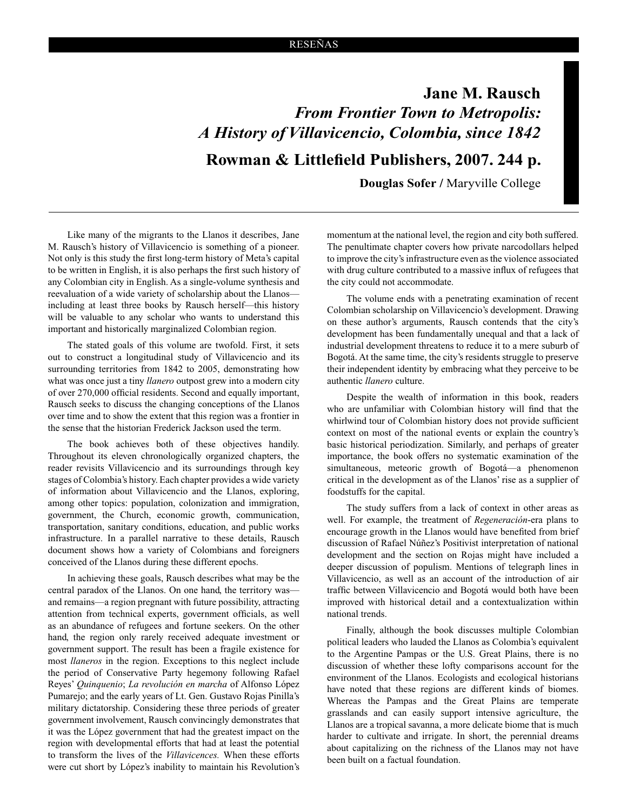**Jane M. Rausch** *From Frontier Town to Metropolis: A History of Villavicencio, Colombia, since 1842* **Rowman & Littlefield Publishers, 2007. 244 p.**

 **Douglas Sofer /** Maryville College

Like many of the migrants to the Llanos it describes, Jane M. Rausch's history of Villavicencio is something of a pioneer. Not only is this study the first long-term history of Meta's capital to be written in English, it is also perhaps the first such history of any Colombian city in English. As a single-volume synthesis and reevaluation of a wide variety of scholarship about the Llanos including at least three books by Rausch herself—this history will be valuable to any scholar who wants to understand this important and historically marginalized Colombian region.

The stated goals of this volume are twofold. First, it sets out to construct a longitudinal study of Villavicencio and its surrounding territories from 1842 to 2005, demonstrating how what was once just a tiny *llanero* outpost grew into a modern city of over 270,000 official residents. Second and equally important, Rausch seeks to discuss the changing conceptions of the Llanos over time and to show the extent that this region was a frontier in the sense that the historian Frederick Jackson used the term.

The book achieves both of these objectives handily. Throughout its eleven chronologically organized chapters, the reader revisits Villavicencio and its surroundings through key stages of Colombia's history. Each chapter provides a wide variety of information about Villavicencio and the Llanos, exploring, among other topics: population, colonization and immigration, government, the Church, economic growth, communication, transportation, sanitary conditions, education, and public works infrastructure. In a parallel narrative to these details, Rausch document shows how a variety of Colombians and foreigners conceived of the Llanos during these different epochs.

In achieving these goals, Rausch describes what may be the central paradox of the Llanos. On one hand, the territory was and remains—a region pregnant with future possibility, attracting attention from technical experts, government officials, as well as an abundance of refugees and fortune seekers. On the other hand, the region only rarely received adequate investment or government support. The result has been a fragile existence for most *llaneros* in the region. Exceptions to this neglect include the period of Conservative Party hegemony following Rafael Reyes' *Quinquenio*; *La revolución en marcha* of Alfonso López Pumarejo; and the early years of Lt. Gen. Gustavo Rojas Pinilla's military dictatorship. Considering these three periods of greater government involvement, Rausch convincingly demonstrates that it was the López government that had the greatest impact on the region with developmental efforts that had at least the potential to transform the lives of the *Villavicences.* When these efforts were cut short by López's inability to maintain his Revolution's

momentum at the national level, the region and city both suffered. The penultimate chapter covers how private narcodollars helped to improve the city's infrastructure even as the violence associated with drug culture contributed to a massive influx of refugees that the city could not accommodate.

The volume ends with a penetrating examination of recent Colombian scholarship on Villavicencio's development. Drawing on these author's arguments, Rausch contends that the city's development has been fundamentally unequal and that a lack of industrial development threatens to reduce it to a mere suburb of Bogotá. At the same time, the city's residents struggle to preserve their independent identity by embracing what they perceive to be authentic *llanero* culture.

Despite the wealth of information in this book, readers who are unfamiliar with Colombian history will find that the whirlwind tour of Colombian history does not provide sufficient context on most of the national events or explain the country's basic historical periodization. Similarly, and perhaps of greater importance, the book offers no systematic examination of the simultaneous, meteoric growth of Bogotá—a phenomenon critical in the development as of the Llanos' rise as a supplier of foodstuffs for the capital.

The study suffers from a lack of context in other areas as well. For example, the treatment of *Regeneración*-era plans to encourage growth in the Llanos would have benefited from brief discussion of Rafael Núñez's Positivist interpretation of national development and the section on Rojas might have included a deeper discussion of populism. Mentions of telegraph lines in Villavicencio, as well as an account of the introduction of air traffic between Villavicencio and Bogotá would both have been improved with historical detail and a contextualization within national trends.

Finally, although the book discusses multiple Colombian political leaders who lauded the Llanos as Colombia's equivalent to the Argentine Pampas or the U.S. Great Plains, there is no discussion of whether these lofty comparisons account for the environment of the Llanos. Ecologists and ecological historians have noted that these regions are different kinds of biomes. Whereas the Pampas and the Great Plains are temperate grasslands and can easily support intensive agriculture, the Llanos are a tropical savanna, a more delicate biome that is much harder to cultivate and irrigate. In short, the perennial dreams about capitalizing on the richness of the Llanos may not have been built on a factual foundation.